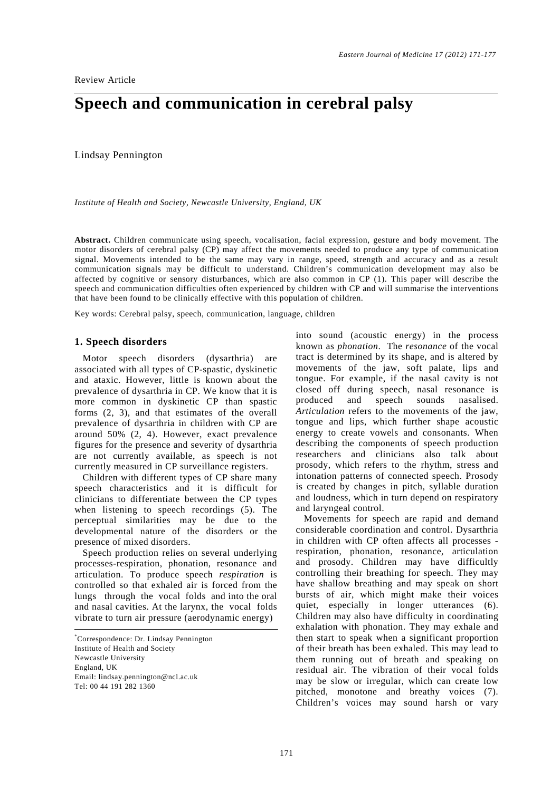# **Speech and communication in cerebral palsy**

Lindsay Pennington

*Institute of Health and Society, Newcastle University, England, UK* 

**Abstract.** Children communicate using speech, vocalisation, facial expression, gesture and body movement. The motor disorders of cerebral palsy (CP) may affect the movements needed to produce any type of communication signal. Movements intended to be the same may vary in range, speed, strength and accuracy and as a result communication signals may be difficult to understand. Children's communication development may also be affected by cognitive or sensory disturbances, which are also common in CP (1). This paper will describe the speech and communication difficulties often experienced by children with CP and will summarise the interventions that have been found to be clinically effective with this population of children.

Key words: Cerebral palsy, speech, communication, language, children

#### **1. Speech disorders**

Motor speech disorders (dysarthria) are associated with all types of CP-spastic, dyskinetic and ataxic. However, little is known about the prevalence of dysarthria in CP. We know that it is more common in dyskinetic CP than spastic forms (2, 3), and that estimates of the overall prevalence of dysarthria in children with CP are around 50% (2, 4). However, exact prevalence figures for the presence and severity of dysarthria are not currently available, as speech is not currently measured in CP surveillance registers.

Children with different types of CP share many speech characteristics and it is difficult for clinicians to differentiate between the CP types when listening to speech recordings (5). The perceptual similarities may be due to the developmental nature of the disorders or the presence of mixed disorders.

Speech production relies on several underlying processes-respiration, phonation, resonance and articulation. To produce speech *respiration* is controlled so that exhaled air is forced from the lungs through the vocal folds and into the oral and nasal cavities. At the larynx, the vocal folds vibrate to turn air pressure (aerodynamic energy)

into sound (acoustic energy) in the process known as *phonation*. The *resonance* of the vocal tract is determined by its shape, and is altered by movements of the jaw, soft palate, lips and tongue. For example, if the nasal cavity is not closed off during speech, nasal resonance is produced and speech sounds nasalised. *Articulation* refers to the movements of the jaw, tongue and lips, which further shape acoustic energy to create vowels and consonants. When describing the components of speech production researchers and clinicians also talk about prosody, which refers to the rhythm, stress and intonation patterns of connected speech. Prosody is created by changes in pitch, syllable duration and loudness, which in turn depend on respiratory and laryngeal control.

Movements for speech are rapid and demand considerable coordination and control. Dysarthria in children with CP often affects all processes respiration, phonation, resonance, articulation and prosody. Children may have difficultly controlling their breathing for speech. They may have shallow breathing and may speak on short bursts of air, which might make their voices quiet, especially in longer utterances (6). Children may also have difficulty in coordinating exhalation with phonation. They may exhale and then start to speak when a significant proportion of their breath has been exhaled. This may lead to them running out of breath and speaking on residual air. The vibration of their vocal folds may be slow or irregular, which can create low pitched, monotone and breathy voices (7). Children's voices may sound harsh or vary

<sup>\*</sup> Correspondence: Dr. Lindsay Pennington Institute of Health and Society Newcastle University England, UK Email: lindsay.pennington@ncl.ac.uk Tel: 00 44 191 282 1360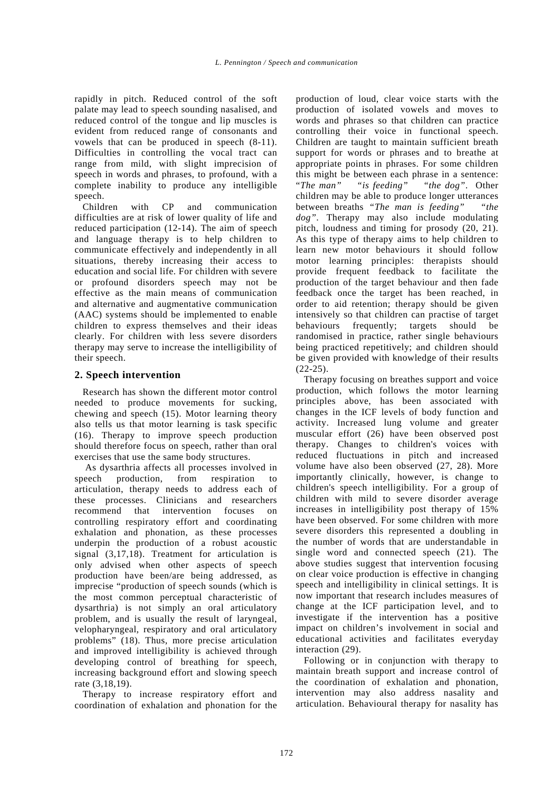rapidly in pitch. Reduced control of the soft palate may lead to speech sounding nasalised, and reduced control of the tongue and lip muscles is evident from reduced range of consonants and vowels that can be produced in speech (8-11). Difficulties in controlling the vocal tract can range from mild, with slight imprecision of speech in words and phrases, to profound, with a complete inability to produce any intelligible speech.

Children with CP and communication difficulties are at risk of lower quality of life and reduced participation (12-14). The aim of speech and language therapy is to help children to communicate effectively and independently in all situations, thereby increasing their access to education and social life. For children with severe or profound disorders speech may not be effective as the main means of communication and alternative and augmentative communication (AAC) systems should be implemented to enable children to express themselves and their ideas clearly. For children with less severe disorders therapy may serve to increase the intelligibility of their speech.

#### **2. Speech intervention**

Research has shown the different motor control needed to produce movements for sucking, chewing and speech (15). Motor learning theory also tells us that motor learning is task specific (16). Therapy to improve speech production should therefore focus on speech, rather than oral exercises that use the same body structures.

 As dysarthria affects all processes involved in speech production, from respiration to articulation, therapy needs to address each of these processes. Clinicians and researchers recommend that intervention focuses on controlling respiratory effort and coordinating exhalation and phonation, as these processes underpin the production of a robust acoustic signal (3,17,18). Treatment for articulation is only advised when other aspects of speech production have been/are being addressed, as imprecise "production of speech sounds (which is the most common perceptual characteristic of dysarthria) is not simply an oral articulatory problem, and is usually the result of laryngeal, velopharyngeal, respiratory and oral articulatory problems" (18). Thus, more precise articulation and improved intelligibility is achieved through developing control of breathing for speech, increasing background effort and slowing speech rate (3,18,19).

Therapy to increase respiratory effort and coordination of exhalation and phonation for the production of loud, clear voice starts with the production of isolated vowels and moves to words and phrases so that children can practice controlling their voice in functional speech. Children are taught to maintain sufficient breath support for words or phrases and to breathe at appropriate points in phrases. For some children this might be between each phrase in a sentence:<br>"The man" "is feeding" "the dog". Other "*is feeding*" "the dog". Other children may be able to produce longer utterances between breaths *"The man is feeding" "the dog"*. Therapy may also include modulating pitch, loudness and timing for prosody (20, 21). As this type of therapy aims to help children to learn new motor behaviours it should follow motor learning principles: therapists should provide frequent feedback to facilitate the production of the target behaviour and then fade feedback once the target has been reached, in order to aid retention; therapy should be given intensively so that children can practise of target behaviours frequently; targets should be randomised in practice, rather single behaviours being practiced repetitively; and children should be given provided with knowledge of their results  $(22-25).$ 

Therapy focusing on breathes support and voice production, which follows the motor learning principles above, has been associated with changes in the ICF levels of body function and activity. Increased lung volume and greater muscular effort (26) have been observed post therapy. Changes to children's voices with reduced fluctuations in pitch and increased volume have also been observed (27, 28). More importantly clinically, however, is change to children's speech intelligibility. For a group of children with mild to severe disorder average increases in intelligibility post therapy of 15% have been observed. For some children with more severe disorders this represented a doubling in the number of words that are understandable in single word and connected speech (21). The above studies suggest that intervention focusing on clear voice production is effective in changing speech and intelligibility in clinical settings. It is now important that research includes measures of change at the ICF participation level, and to investigate if the intervention has a positive impact on children's involvement in social and educational activities and facilitates everyday interaction (29).

Following or in conjunction with therapy to maintain breath support and increase control of the coordination of exhalation and phonation, intervention may also address nasality and articulation. Behavioural therapy for nasality has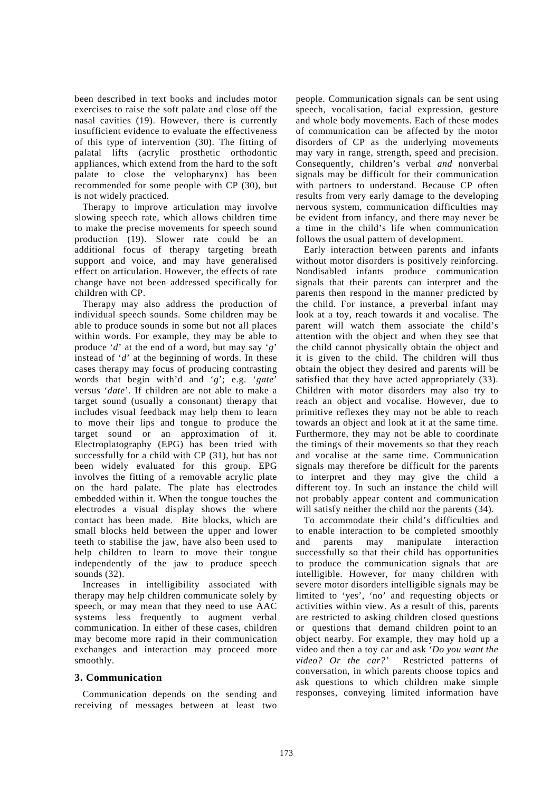been described in text books and includes motor exercises to raise the soft palate and close off the nasal cavities (19). However, there is currently insufficient evidence to evaluate the effectiveness of this type of intervention (30). The fitting of palatal lifts (acrylic prosthetic orthodontic appliances, which extend from the hard to the soft palate to close the velopharynx) has been recommended for some people with CP (30), but is not widely practiced.

Therapy to improve articulation may involve slowing speech rate, which allows children time to make the precise movements for speech sound production (19). Slower rate could be an additional focus of therapy targeting breath support and voice, and may have generalised effect on articulation. However, the effects of rate change have not been addressed specifically for children with CP.

Therapy may also address the production of individual speech sounds. Some children may be able to produce sounds in some but not all places within words. For example, they may be able to produce '*d*' at the end of a word, but may say '*g*' instead of '*d*' at the beginning of words. In these cases therapy may focus of producing contrasting words that begin with'd and '*g*'; e.g. '*gate*' versus '*date*'. If children are not able to make a target sound (usually a consonant) therapy that includes visual feedback may help them to learn to move their lips and tongue to produce the target sound or an approximation of it. Electroplatography (EPG) has been tried with successfully for a child with CP (31), but has not been widely evaluated for this group. EPG involves the fitting of a removable acrylic plate on the hard palate. The plate has electrodes embedded within it. When the tongue touches the electrodes a visual display shows the where contact has been made. Bite blocks, which are small blocks held between the upper and lower teeth to stabilise the jaw, have also been used to help children to learn to move their tongue independently of the jaw to produce speech sounds (32).

Increases in intelligibility associated with therapy may help children communicate solely by speech, or may mean that they need to use AAC systems less frequently to augment verbal communication. In either of these cases, children may become more rapid in their communication exchanges and interaction may proceed more smoothly.

#### **3. Communication**

Communication depends on the sending and receiving of messages between at least two people. Communication signals can be sent using speech, vocalisation, facial expression, gesture and whole body movements. Each of these modes of communication can be affected by the motor disorders of CP as the underlying movements may vary in range, strength, speed and precision. Consequently, children's verbal *and* nonverbal signals may be difficult for their communication with partners to understand. Because CP often results from very early damage to the developing nervous system, communication difficulties may be evident from infancy, and there may never be a time in the child's life when communication follows the usual pattern of development.

Early interaction between parents and infants without motor disorders is positively reinforcing. Nondisabled infants produce communication signals that their parents can interpret and the parents then respond in the manner predicted by the child. For instance, a preverbal infant may look at a toy, reach towards it and vocalise. The parent will watch them associate the child's attention with the object and when they see that the child cannot physically obtain the object and it is given to the child. The children will thus obtain the object they desired and parents will be satisfied that they have acted appropriately (33). Children with motor disorders may also try to reach an object and vocalise. However, due to primitive reflexes they may not be able to reach towards an object and look at it at the same time. Furthermore, they may not be able to coordinate the timings of their movements so that they reach and vocalise at the same time. Communication signals may therefore be difficult for the parents to interpret and they may give the child a different toy. In such an instance the child will not probably appear content and communication will satisfy neither the child nor the parents (34).

To accommodate their child's difficulties and to enable interaction to be completed smoothly and parents may manipulate interaction successfully so that their child has opportunities to produce the communication signals that are intelligible. However, for many children with severe motor disorders intelligible signals may be limited to 'yes', 'no' and requesting objects or activities within view. As a result of this, parents are restricted to asking children closed questions or questions that demand children point to an object nearby. For example, they may hold up a video and then a toy car and ask *'Do you want the video? Or the car?'* Restricted patterns of conversation, in which parents choose topics and ask questions to which children make simple responses, conveying limited information have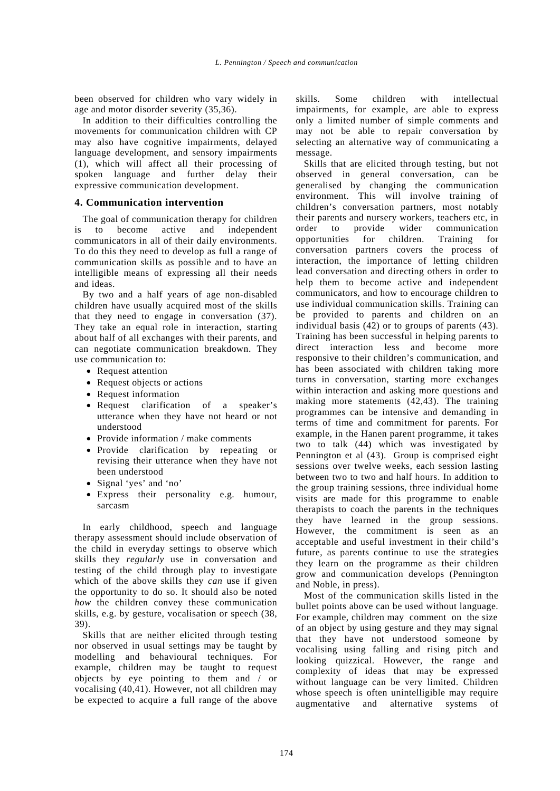been observed for children who vary widely in age and motor disorder severity (35,36).

In addition to their difficulties controlling the movements for communication children with CP may also have cognitive impairments, delayed language development, and sensory impairments (1), which will affect all their processing of spoken language and further delay their expressive communication development.

### **4. Communication intervention**

The goal of communication therapy for children is to become active and independent communicators in all of their daily environments. To do this they need to develop as full a range of communication skills as possible and to have an intelligible means of expressing all their needs and ideas.

By two and a half years of age non-disabled children have usually acquired most of the skills that they need to engage in conversation (37). They take an equal role in interaction, starting about half of all exchanges with their parents, and can negotiate communication breakdown. They use communication to:

- Request attention
- Request objects or actions
- Request information
- Request clarification of a speaker's utterance when they have not heard or not understood
- Provide information / make comments
- Provide clarification by repeating or revising their utterance when they have not been understood
- Signal 'yes' and 'no'
- Express their personality e.g. humour, sarcasm

In early childhood, speech and language therapy assessment should include observation of the child in everyday settings to observe which skills they *regularly* use in conversation and testing of the child through play to investigate which of the above skills they *can* use if given the opportunity to do so. It should also be noted *how* the children convey these communication skills, e.g. by gesture, vocalisation or speech (38, 39).

Skills that are neither elicited through testing nor observed in usual settings may be taught by modelling and behavioural techniques. For example, children may be taught to request objects by eye pointing to them and / or vocalising (40,41). However, not all children may be expected to acquire a full range of the above skills. Some children with intellectual impairments, for example, are able to express only a limited number of simple comments and may not be able to repair conversation by selecting an alternative way of communicating a message.

Skills that are elicited through testing, but not observed in general conversation, can be generalised by changing the communication environment. This will involve training of children's conversation partners, most notably their parents and nursery workers, teachers etc, in order to provide wider communication opportunities for children. Training for conversation partners covers the process of interaction, the importance of letting children lead conversation and directing others in order to help them to become active and independent communicators, and how to encourage children to use individual communication skills. Training can be provided to parents and children on an individual basis (42) or to groups of parents (43). Training has been successful in helping parents to direct interaction less and become more responsive to their children's communication, and has been associated with children taking more turns in conversation, starting more exchanges within interaction and asking more questions and making more statements (42,43). The training programmes can be intensive and demanding in terms of time and commitment for parents. For example, in the Hanen parent programme, it takes two to talk (44) which was investigated by Pennington et al (43). Group is comprised eight sessions over twelve weeks, each session lasting between two to two and half hours. In addition to the group training sessions, three individual home visits are made for this programme to enable therapists to coach the parents in the techniques they have learned in the group sessions. However, the commitment is seen as an acceptable and useful investment in their child's future, as parents continue to use the strategies they learn on the programme as their children grow and communication develops (Pennington and Noble, in press).

Most of the communication skills listed in the bullet points above can be used without language. For example, children may comment on the size of an object by using gesture and they may signal that they have not understood someone by vocalising using falling and rising pitch and looking quizzical. However, the range and complexity of ideas that may be expressed without language can be very limited. Children whose speech is often unintelligible may require augmentative and alternative systems of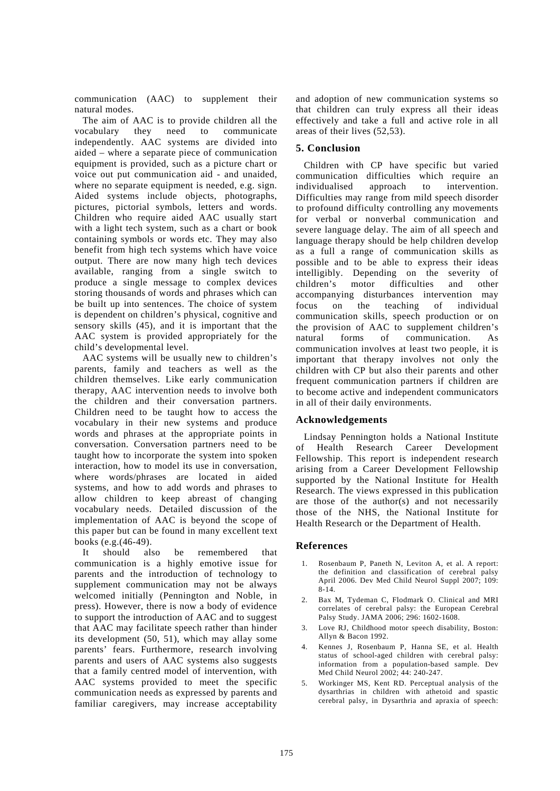communication (AAC) to supplement their natural modes.

The aim of AAC is to provide children all the vocabulary they need to communicate independently. AAC systems are divided into aided – where a separate piece of communication equipment is provided, such as a picture chart or voice out put communication aid - and unaided, where no separate equipment is needed, e.g. sign. Aided systems include objects, photographs, pictures, pictorial symbols, letters and words. Children who require aided AAC usually start with a light tech system, such as a chart or book containing symbols or words etc. They may also benefit from high tech systems which have voice output. There are now many high tech devices available, ranging from a single switch to produce a single message to complex devices storing thousands of words and phrases which can be built up into sentences. The choice of system is dependent on children's physical, cognitive and sensory skills (45), and it is important that the AAC system is provided appropriately for the child's developmental level.

AAC systems will be usually new to children's parents, family and teachers as well as the children themselves. Like early communication therapy, AAC intervention needs to involve both the children and their conversation partners. Children need to be taught how to access the vocabulary in their new systems and produce words and phrases at the appropriate points in conversation. Conversation partners need to be taught how to incorporate the system into spoken interaction, how to model its use in conversation, where words/phrases are located in aided systems, and how to add words and phrases to allow children to keep abreast of changing vocabulary needs. Detailed discussion of the implementation of AAC is beyond the scope of this paper but can be found in many excellent text books (e.g.(46-49).

It should also be remembered that communication is a highly emotive issue for parents and the introduction of technology to supplement communication may not be always welcomed initially (Pennington and Noble, in press). However, there is now a body of evidence to support the introduction of AAC and to suggest that AAC may facilitate speech rather than hinder its development (50, 51), which may allay some parents' fears. Furthermore, research involving parents and users of AAC systems also suggests that a family centred model of intervention, with AAC systems provided to meet the specific communication needs as expressed by parents and familiar caregivers, may increase acceptability and adoption of new communication systems so that children can truly express all their ideas effectively and take a full and active role in all areas of their lives (52,53).

# **5. Conclusion**

Children with CP have specific but varied communication difficulties which require an individualised approach to intervention. Difficulties may range from mild speech disorder to profound difficulty controlling any movements for verbal or nonverbal communication and severe language delay. The aim of all speech and language therapy should be help children develop as a full a range of communication skills as possible and to be able to express their ideas intelligibly. Depending on the severity of children's motor difficulties and other accompanying disturbances intervention may focus on the teaching of individual communication skills, speech production or on the provision of AAC to supplement children's natural forms of communication. As communication involves at least two people, it is important that therapy involves not only the children with CP but also their parents and other frequent communication partners if children are to become active and independent communicators in all of their daily environments.

# **Acknowledgements**

Lindsay Pennington holds a National Institute of Health Research Career Development Fellowship. This report is independent research arising from a Career Development Fellowship supported by the National Institute for Health Research. The views expressed in this publication are those of the author(s) and not necessarily those of the NHS, the National Institute for Health Research or the Department of Health.

#### **References**

- 1. Rosenbaum P, Paneth N, Leviton A, et al. A report: the definition and classification of cerebral palsy April 2006. Dev Med Child Neurol Suppl 2007; 109: 8-14.
- 2. Bax M, Tydeman C, Flodmark O. Clinical and MRI correlates of cerebral palsy: the European Cerebral Palsy Study. JAMA 2006; 296: 1602-1608.
- 3. Love RJ, Childhood motor speech disability, Boston: Allyn & Bacon 1992.
- 4. Kennes J, Rosenbaum P, Hanna SE, et al. Health status of school-aged children with cerebral palsy: information from a population-based sample. Dev Med Child Neurol 2002; 44: 240-247.
- 5. Workinger MS, Kent RD. Perceptual analysis of the dysarthrias in children with athetoid and spastic cerebral palsy, in Dysarthria and apraxia of speech: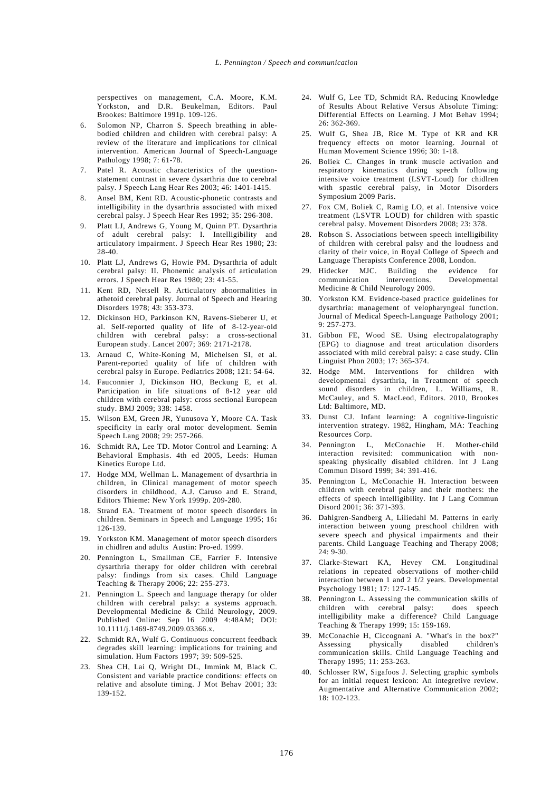perspectives on management, C.A. Moore, K.M. Yorkston, and D.R. Beukelman, Editors. Paul Brookes: Baltimore 1991p. 109-126.

- 6. Solomon NP, Charron S. Speech breathing in ablebodied children and children with cerebral palsy: A review of the literature and implications for clinical intervention. American Journal of Speech-Language Pathology 1998; 7: 61-78.
- 7. Patel R. Acoustic characteristics of the questionstatement contrast in severe dysarthria due to cerebral palsy. J Speech Lang Hear Res 2003; 46: 1401-1415.
- 8. Ansel BM, Kent RD. Acoustic-phonetic contrasts and intelligibility in the dysarthria associated with mixed cerebral palsy. J Speech Hear Res 1992; 35: 296-308.
- 9. Platt LJ, Andrews G, Young M, Quinn PT. Dysarthria of adult cerebral palsy: I. Intelligibility and articulatory impairment. J Speech Hear Res 1980; 23: 28-40.
- 10. Platt LJ, Andrews G, Howie PM. Dysarthria of adult cerebral palsy: II. Phonemic analysis of articulation errors. J Speech Hear Res 1980; 23: 41-55.
- 11. Kent RD, Netsell R. Articulatory abnormalities in athetoid cerebral palsy. Journal of Speech and Hearing Disorders 1978; 43: 353-373.
- 12. Dickinson HO, Parkinson KN, Ravens-Sieberer U, et al. Self-reported quality of life of 8-12-year-old children with cerebral palsy: a cross-sectional European study. Lancet 2007; 369: 2171-2178.
- 13. Arnaud C, White-Koning M, Michelsen SI, et al. Parent-reported quality of life of children with cerebral palsy in Europe. Pediatrics 2008; 121: 54-64.
- 14. Fauconnier J, Dickinson HO, Beckung E, et al. Participation in life situations of 8-12 year old children with cerebral palsy: cross sectional European study. BMJ 2009; 338: 1458.
- 15. Wilson EM, Green JR, Yunusova Y, Moore CA. Task specificity in early oral motor development. Semin Speech Lang 2008; 29: 257-266.
- 16. Schmidt RA, Lee TD. Motor Control and Learning: A Behavioral Emphasis. 4th ed 2005, Leeds: Human Kinetics Europe Ltd.
- 17. Hodge MM, Wellman L. Management of dysarthria in children, in Clinical management of motor speech disorders in childhood, A.J. Caruso and E. Strand, Editors Thieme: New York 1999p. 209-280.
- 18. Strand EA. Treatment of motor speech disorders in children. Seminars in Speech and Language 1995; 16**:**  126-139.
- 19. Yorkston KM. Management of motor speech disorders in chidlren and adults Austin: Pro-ed. 1999.
- 20. Pennington L, Smallman CE, Farrier F. Intensive dysarthria therapy for older children with cerebral palsy: findings from six cases. Child Language Teaching & Therapy 2006; 22: 255-273.
- 21. Pennington L. Speech and language therapy for older children with cerebral palsy: a systems approach. Developmental Medicine & Child Neurology, 2009. Published Online: Sep 16 2009 4:48AM; DOI: 10.1111/j.1469-8749.2009.03366.x.
- 22. Schmidt RA, Wulf G. Continuous concurrent feedback degrades skill learning: implications for training and simulation. Hum Factors 1997; 39: 509-525.
- 23. Shea CH, Lai Q, Wright DL, Immink M, Black C. Consistent and variable practice conditions: effects on relative and absolute timing. J Mot Behav 2001; 33: 139-152.
- 24. Wulf G, Lee TD, Schmidt RA. Reducing Knowledge of Results About Relative Versus Absolute Timing: Differential Effects on Learning. J Mot Behav 1994; 26: 362-369.
- 25. Wulf G, Shea JB, Rice M. Type of KR and KR frequency effects on motor learning. Journal of Human Movement Science 1996; 30: 1-18.
- 26. Boliek C. Changes in trunk muscle activation and respiratory kinematics during speech following intensive voice treatment (LSVT-Loud) for chidlren with spastic cerebral palsy, in Motor Disorders Symposium 2009 Paris.
- 27. Fox CM, Boliek C, Ramig LO, et al. Intensive voice treatment (LSVTR LOUD) for children with spastic cerebral palsy. Movement Disorders 2008; 23: 378.
- 28. Robson S. Associations between speech intelligibility of children with cerebral palsy and the loudness and clarity of their voice, in Royal College of Speech and Language Therapists Conference 2008, London.
- 29. Hidecker MJC. Building the evidence for communication interventions. Developmental Medicine & Child Neurology 2009.
- 30. Yorkston KM. Evidence-based practice guidelines for dysarthria: management of velopharyngeal function. Journal of Medical Speech-Language Pathology 2001; 9: 257-273.
- 31. Gibbon FE, Wood SE. Using electropalatography (EPG) to diagnose and treat articulation disorders associated with mild cerebral palsy: a case study. Clin Linguist Phon 2003; 17: 365-374.
- 32. Hodge MM. Interventions for children with developmental dysarthria, in Treatment of speech sound disorders in children, L. Williams, R. McCauley, and S. MacLeod, Editors. 2010, Brookes Ltd: Baltimore, MD.
- 33. Dunst CJ. Infant learning: A cognitive-linguistic intervention strategy. 1982, Hingham, MA: Teaching Resources Corp.
- 34. Pennington L, McConachie H. Mother-child interaction revisited: communication with nonspeaking physically disabled children. Int J Lang Commun Disord 1999; 34: 391-416.
- 35. Pennington L, McConachie H. Interaction between children with cerebral palsy and their mothers: the effects of speech intelligibility. Int J Lang Commun Disord 2001; 36: 371-393.
- 36. Dahlgren-Sandberg A, Liliedahl M. Patterns in early interaction between young preschool children with severe speech and physical impairments and their parents. Child Language Teaching and Therapy 2008; 24: 9-30.
- 37. Clarke-Stewart KA, Hevey CM. Longitudinal relations in repeated observations of mother-child interaction between 1 and 2 1/2 years. Developmental Psychology 1981; 17: 127-145.
- 38. Pennington L. Assessing the communication skills of children with cerebral palsy: does speech intelligibility make a difference? Child Language Teaching & Therapy 1999; 15: 159-169.
- 39. McConachie H, Ciccognani A. "What's in the box?" Assessing physically disabled children's communication skills. Child Language Teaching and Therapy 1995; 11: 253-263.
- Schlosser RW, Sigafoos J. Selecting graphic symbols for an initial request lexicon: An integretive review. Augmentative and Alternative Communication 2002; 18: 102-123.